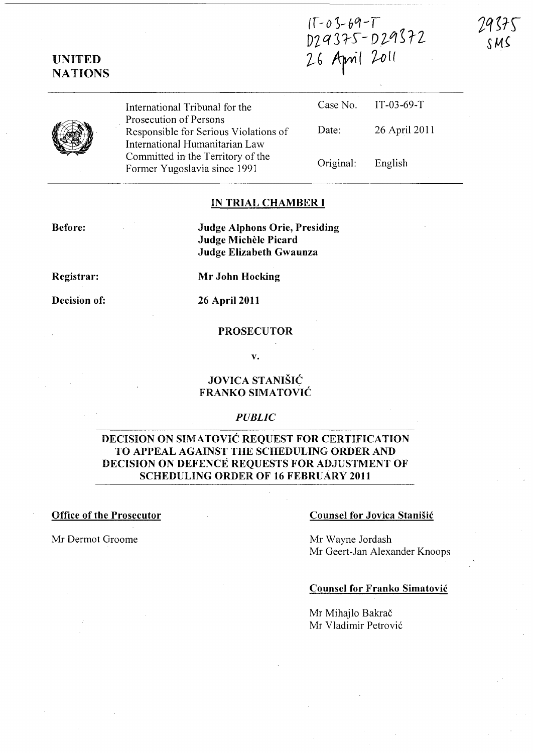$(T-0 3-69-T)$ DZ*Q375-D29572*<br>26 April 2011



UNITED **NATIONS** 

> International Tribunal for the Prosecution of Persons Responsible for Serious Violations of International Humanitarian Law Committed in the Territory of the Former Yugoslavia since 1991

| Case No.  | $IT-03-69-T$  |
|-----------|---------------|
| Date:     | 26 April 2011 |
| Original: | English       |

### IN TRIAL CHAMBER I

Before:

Judge Alphons Orie, Presiding Judge Michele Picard Judge Elizabeth Gwaunza

Registrar:

Mr John Hocking

## Decision of: 26 April 2011

#### PROSECUTOR

v.

## JOVICA STANISIC FRANKO SIMATOVIC

#### *PUBLIC*

## DECISION ON SIMATOVIC REQUEST FOR CERTIFICATION TO APPEAL AGAINST THE SCHEDULING ORDER AND DECISION ON DEFENCE REQUESTS FOR ADJUSTMENT OF SCHEDULING ORDER OF 16 FEBRUARY 2011

#### Office of the Prosecutor

## Counsel for Jovica Stanisic

Mr Dermot Groome

Mr Wayne Jordash Mr Geert-Jan Alexander Knoops

### Counsel for Franko Simatovic

Mr Mihajlo Bakrač Mr Vladimir Petrovi6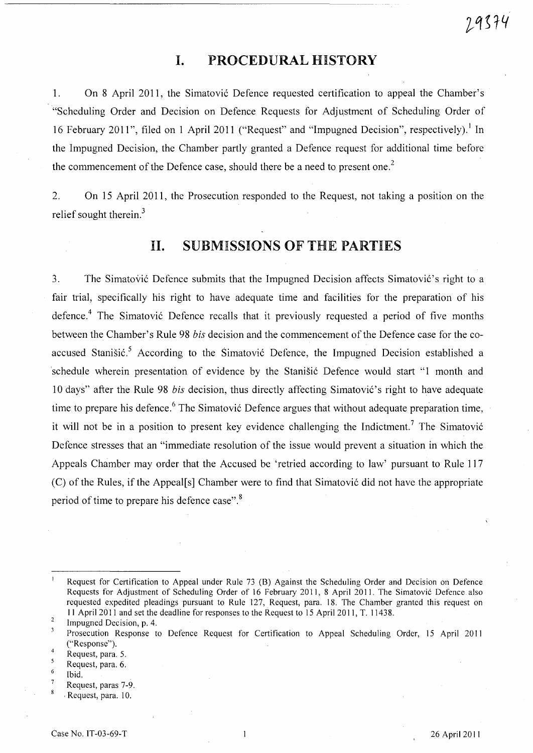# I. PROCEDURAL HISTORY

1. On 8 April 2011, the Simatovi6 Defence requested certification to appeal the Chamber's "Scheduling Order and Decision on Defence Requests for Adjustment of Scheduling Order of 16 February 2011", filed on 1 April 2011 ("Request" and "Impugned Decision", respectively).<sup>1</sup> In the Impugned Decision, the Chamber partly granted a Defence request for additional time before the commencement of the Defence case, should there be a need to present one.<sup>2</sup>

2. On 15 April 2011, the Prosecution responded to the Request, not taking a position on the relief sought therein. $3$ 

# 11. SUBMISSIONS OF THE PARTIES

3. The Simatović Defence submits that the Impugned Decision affects Simatović's right to a fair trial, specifically his right to have adequate time and facilities for the preparation of his defence.<sup>4</sup> The Simatović Defence recalls that it previously requested a period of five months between the Chamber's Rule 98 *bis* decision and the commencement of the Defence case for the coaccused Stanišić.<sup>5</sup> According to the Simatović Defence, the Impugned Decision established a schedule wherein presentation of evidence by the Stanišić Defence would start "1 month and 10 days" after the Rule 98 *bis* decision, thus directly affecting Simatović's right to have adequate time to prepare his defence.<sup>6</sup> The Simatović Defence argues that without adequate preparation time, it will not be in a position to present key evidence challenging the Indictment.<sup>7</sup> The Simatović Defence stresses that an "immediate resolution of the issue would prevent a situation in which the Appeals Chamber may order that the Accused be 'retried according to law' pursuant to Rule 117 (C) of the Rules, if the Appeal[s] Chamber were to find that Simatovi6 did not have the appropriate period of time to prepare his defence case". 8

- $\overline{\mathbf{5}}$ Request, para. 6.
- 6 Ibid.
- Request, paras 7-9 .
- $\boldsymbol{8}$ . Request, para. 10.

Request for Certification to Appeal under Rule 73 (8) Against the Scheduling Order and Decision on Defence Requests for Adjustment of Scheduling Order of 16 February 2011, 8 April 2011. The Simatovic Defence also requested expedited pleadings pursuant to Rule 127, Request, para. 18. The Chamber granted this request on II April 2011 and set the deadline for responses to the Request to 15 April 2011, T. 11438.

 $\sqrt{2}$ Impugned Decision, p. 4.

 $\overline{\mathbf{3}}$ Prosecution Response to Defence Request for Certification to Appeal Scheduling Order, 15 April 2011 ("Response").

<sup>4</sup>  Request, para. 5.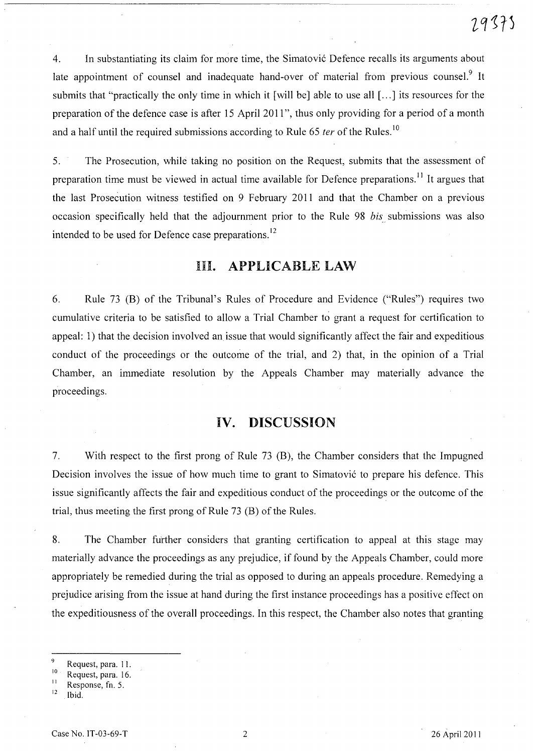4. In substantiating its claim for more time, the Simatovic Defence recalls its arguments about late appointment of counsel and inadequate hand-over of material from previous counsel.<sup>9</sup> It submits that "practically the only time in which it [will be] able to use all [...] its resources for the preparation of the defence case is after 15 April 2011", thus only providing for a period of a month and a half until the required submissions according to Rule 65 ter of the Rules.<sup>10</sup>

5. The Prosecution, while taking no position on the Request, submits that the assessment of preparation time must be viewed in actual time available for Defence preparations.<sup>11</sup> It argues that the last Prosecution witness testified on 9 February 2011 and that the Chamber on a previous occasion specifically held that the adjournment prior to the Rule 98 *bis* submissions was also intended to be used for Defence case preparations.<sup>12</sup>

# Ill. APPLICABLE LAW

6. Rule 73 (B) of the Tribunal's Rules of Procedure and Evidence ("Rules") requires two cumulative criteria to be satisfied to allow a Trial Chamber to grant a request for certification to appeal: 1) that the decision involved an issue that would significantly affect the fair and expeditious conduct of the proceedings or the outcome of the trial, and 2) that, in the opinion of a Trial Chamber, an immediate resolution by the Appeals Chamber may materially advance the proceedings.

# IV. DISCUSSION

7. With respect to the first prong of Rule 73 (B), the Chamber considers that the Impugned Decision involves the issue of how much time to grant to Simatovic to prepare his defence. This issue significantly affects the fair and expeditious conduct of the proceedings or the outcome of the trial, thus meeting the first prong of Rule 73 (B) of the Rules.

8. The Chamber further considers that granting certification to appeal at this stage may materially advance the proceedings as any prejudice, if found by the Appeals Chamber, could more appropriately be remedied during the trial as opposed to during an appeals procedure. Remedying a prejudice arising from the issue at hand during the first instance proceedings has a positive effect on the expeditiousness of the overall proceedings. In this respect, the Chamber also notes that granting

 $^{9}$  Request, para. 11.

 $^{10}$  Request, para. 16.

 $\frac{11}{12}$  Response, fn. 5.

Ibid.